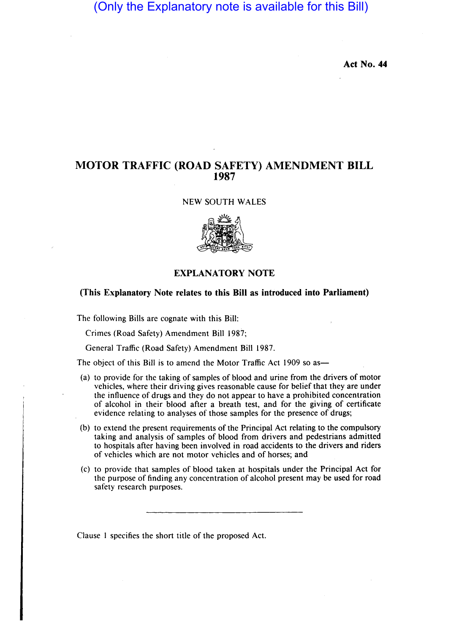# (Only the Explanatory note is available for this Bill)

**Act No. 44** 

# **MOTOR TRAFFIC (ROAD SAFETY) AMENDMENT BILL 1987**

### NEW SOUTH WALES



## **EXPLANATORY NOTE**

# **(This Explanatory Note relates to this Bill as introduced into Parliament)**

The following Bills are cognate with this Bill:

Crimes (Road Safety) Amendment Bill 1987;

General Traffic (Road Safety) Amendment Bill 1987.

The object of this Bill is to amend the Motor Traffic Act 1909 so as-

- (a) to provide for the taking of samples of blood and urine from the drivers of motor vehicles, where their driving gives reasonable cause for belief that they are under the influence of drugs and they do not appear to have a prohibited concentration of alcohol in their blood after a breath test, and for the giving of certificate evidence relating to analyses of those samples for the presence of drugs;
- (b) to extend the present requirements of the Principal Act relating to the compulsory taking and analysis of samples of blood from drivers and pedestrians admitted to hospitals after having been involved in road accidents to the drivers and riders of vehicles which are not motor vehicles and of horses; and
- (c) to provide that samples of blood taken at hospitals under the Principal Act for the purpose of finding any concentration of alcohol present may be used for road safety research purposes.

Clause I specifies the short title of the proposed Act.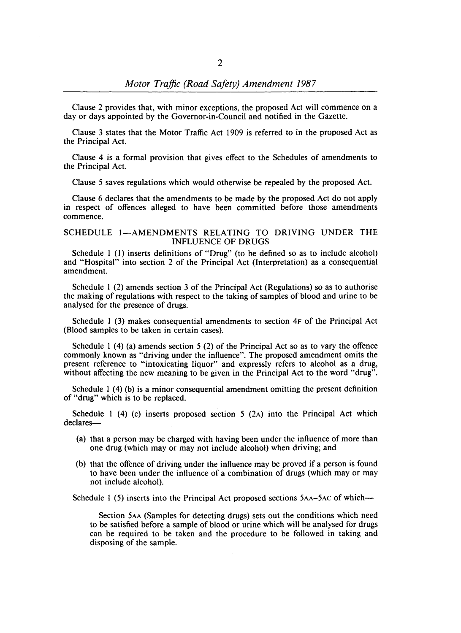Clause 2 provides that, with minor exceptions, the proposed Act will commence on a day or days appointed by the Governor-in-Council and notified in the Gazette.

Clause 3 states that the Motor Traffic Act 1909 is referred to in the proposed Act as the Principal Act.

Clause 4 is a formal provision that gives effect to the Schedules of amendments to the Principal Act.

Clause 5 saves regulations which would otherwise be repealed by the proposed Act.

Clause 6 declares that the amendments to be made by the proposed Act do not apply in respect of offences alleged to have been committed before those amendments commence.

### SCHEDULE 1-AMENDMENTS RELATING TO DRIVING UNDER THE INFLUENCE OF DRUGS

Schedule 1 (1) inserts definitions of "Drug" (to be defined so as to include alcohol) and "Hospital" into section 2 of the Principal Act (Interpretation) as a consequential amendment.

Schedule I (2) amends section 3 of the Principal Act (Regulations) so as to authorise the making of regulations with respect to the taking of samples of blood and urine to be analysed for the presence of drugs.

Schedule I (3) makes consequential amendments to section 4F of the Principal Act (Blood samples to be taken in certain cases).

Schedule I (4) (a) amends section 5 (2) of the Principal Act so as to vary the offence commonly known as "driving under the influence". The proposed amendment omits the present reference to "intoxicating liquor" and expressly refers to alcohol as a drug, without affecting the new meaning to be given in the Principal Act to the word "drug".

Schedule I (4) (b) is a minor consequential amendment omitting the present definition of "drug" which is to be replaced.

Schedule 1 (4) (c) inserts proposed section 5 (2A) into the Principal Act which declares-

- (a) that a person may be charged with having been under the influence of more than one drug (which mayor may not include alcohol) when driving; and
- (b) that the offence of driving under the influence may be proved if a person is found to have been under the influence of a combination of drugs (which mayor may not include alcohol).

Schedule 1 (5) inserts into the Principal Act proposed sections 5AA-5AC of which--

Section 5AA (Samples for detecting drugs) sets out the conditions which need to be satisfied before a sample of blood or urine which will be analysed for drugs can be required to be taken and the procedure to be followed in taking and disposing of the sample.